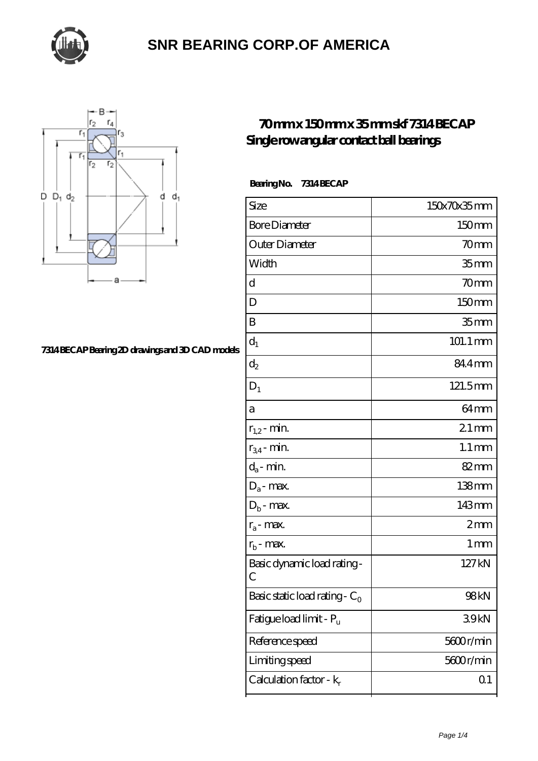



#### **[7314 BECAP Bearing 2D drawings and 3D CAD models](https://thebestofquebec.com/pic-64978830.html)**

#### **[70 mm x 150 mm x 35 mm skf 7314 BECAP](https://thebestofquebec.com/af-64978830-skf-7314-becap-single-row-angular-contact-ball-bearings.html) [Single row angular contact ball bearings](https://thebestofquebec.com/af-64978830-skf-7314-becap-single-row-angular-contact-ball-bearings.html)**

 **Bearing No. 7314 BECAP**

| Size                             | 150x70x35mm         |
|----------------------------------|---------------------|
| <b>Bore Diameter</b>             | 150mm               |
| Outer Diameter                   | 70mm                |
| Width                            | 35 <sub>mm</sub>    |
| d                                | 70mm                |
| D                                | 150mm               |
| B                                | 35 <sub>mm</sub>    |
| $d_1$                            | 101.1 mm            |
| $\mathrm{d}_2$                   | 84.4mm              |
| $D_1$                            | 121.5mm             |
| а                                | 64 <sub>mm</sub>    |
| $r_{1,2}$ - min.                 | $21 \,\mathrm{mm}$  |
| $r_{34}$ - min.                  | $1.1 \,\mathrm{mm}$ |
| $d_a$ - min.                     | $82 \text{mm}$      |
| $D_a$ - max.                     | $138 \text{mm}$     |
| $D_b$ - max.                     | 143mm               |
| $r_a$ - max.                     | 2mm                 |
| $r_{b}$ - max.                   | $1 \,\mathrm{mm}$   |
| Basic dynamic load rating-<br>С  | 127kN               |
| Basic static load rating - $C_0$ | 98kN                |
| Fatigue load limit - Pu          | 39kN                |
| Reference speed                  | 5600r/min           |
| Limiting speed                   | 5600r/min           |
| Calculation factor - $k_r$       | Q <sub>1</sub>      |
|                                  |                     |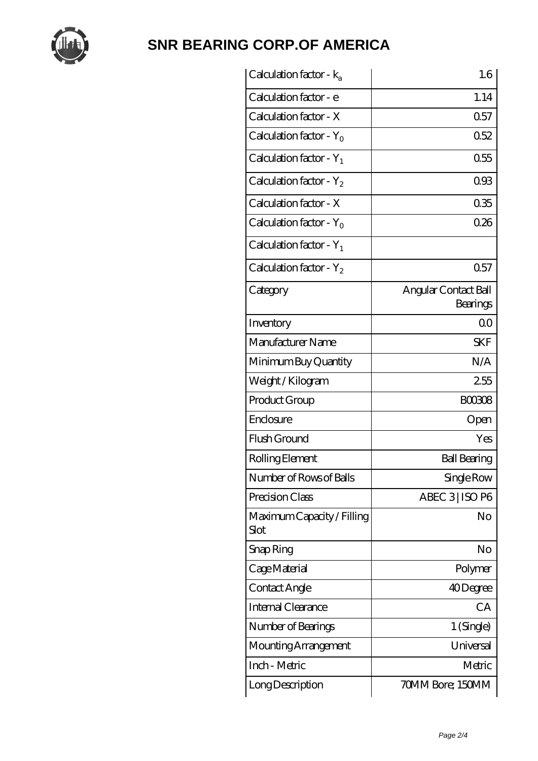

| Calculation factor - $k_a$         | 1.6                              |
|------------------------------------|----------------------------------|
| Calculation factor - e             | 1.14                             |
| Calculation factor - X             | 0.57                             |
| Calculation factor - $Y_0$         | 0.52                             |
| Calculation factor - $Y_1$         | 0.55                             |
| Calculation factor - $Y_2$         | 093                              |
| Calculation factor - X             | 035                              |
| Calculation factor - $Y_0$         | 026                              |
| Calculation factor - $Y_1$         |                                  |
| Calculation factor - $Y_2$         | 0.57                             |
| Category                           | Angular Contact Ball<br>Bearings |
| Inventory                          | 0 <sup>0</sup>                   |
| Manufacturer Name                  | <b>SKF</b>                       |
| Minimum Buy Quantity               | N/A                              |
| Weight / Kilogram                  | 255                              |
| Product Group                      | <b>BOO308</b>                    |
| Enclosure                          | Open                             |
| Flush Ground                       | Yes                              |
| Rolling Element                    | <b>Ball Bearing</b>              |
| Number of Rows of Balls            | Single Row                       |
| Precision Class                    | ABEC 3 ISO P6                    |
| Maximum Capacity / Filling<br>Slot | No                               |
| Snap Ring                          | No                               |
| Cage Material                      | Polymer                          |
| Contact Angle                      | 40Degree                         |
| <b>Internal Clearance</b>          | CA                               |
| Number of Bearings                 | 1 (Single)                       |
| Mounting Arrangement               | Universal                        |
| Inch - Metric                      | Metric                           |
| Long Description                   | 70MM Bore; 150MM                 |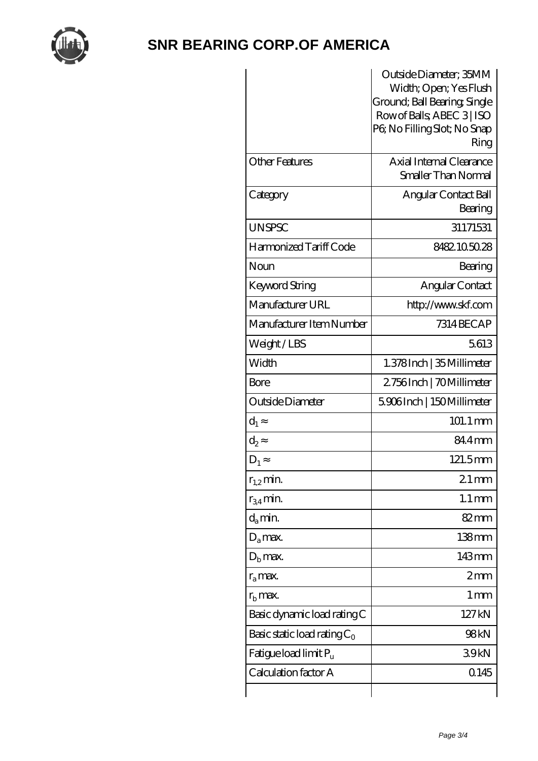

|                                   | Outside Diameter; 35MM<br>Width; Open; Yes Flush<br>Ground; Ball Bearing, Single<br>Row of Balls, ABEC 3   ISO<br>PG No Filling Slot; No Snap<br>Ring |
|-----------------------------------|-------------------------------------------------------------------------------------------------------------------------------------------------------|
| <b>Other Features</b>             | Axial Internal Clearance<br>Smaller Than Normal                                                                                                       |
| Category                          | Angular Contact Ball<br>Bearing                                                                                                                       |
| <b>UNSPSC</b>                     | 31171531                                                                                                                                              |
| Harmonized Tariff Code            | 8482105028                                                                                                                                            |
| Noun                              | Bearing                                                                                                                                               |
| Keyword String                    | Angular Contact                                                                                                                                       |
| Manufacturer URL                  | http://www.skf.com                                                                                                                                    |
| Manufacturer Item Number          | 7314 BEC AP                                                                                                                                           |
| Weight/LBS                        | 5613                                                                                                                                                  |
| Width                             | 1.378 Inch   35 Millimeter                                                                                                                            |
| Bore                              | 2756Inch   70Millimeter                                                                                                                               |
| Outside Diameter                  | 5906Inch   150Millimeter                                                                                                                              |
| $d_1$                             | 101.1 mm                                                                                                                                              |
| $d_2$                             | 84.4mm                                                                                                                                                |
| $D_1$                             | 121.5mm                                                                                                                                               |
| $r_{1,2}$ min.                    | $21 \,\mathrm{mm}$                                                                                                                                    |
| $r_{34}$ min.                     | $1.1 \,\mathrm{mm}$                                                                                                                                   |
| $d_a$ min.                        | $82 \text{mm}$                                                                                                                                        |
| $D_a$ max.                        | $138$ mm                                                                                                                                              |
| $D_{\rm b}$ max.                  | 143mm                                                                                                                                                 |
| $r_a$ max.                        | 2mm                                                                                                                                                   |
| $r_{\rm b}$ max.                  | 1 <sub>mm</sub>                                                                                                                                       |
| Basic dynamic load rating C       | 127kN                                                                                                                                                 |
| Basic static load rating $C_0$    | 98kN                                                                                                                                                  |
| Fatigue load limit P <sub>u</sub> | 39kN                                                                                                                                                  |
| Calculation factor A              | 0.145                                                                                                                                                 |
|                                   |                                                                                                                                                       |